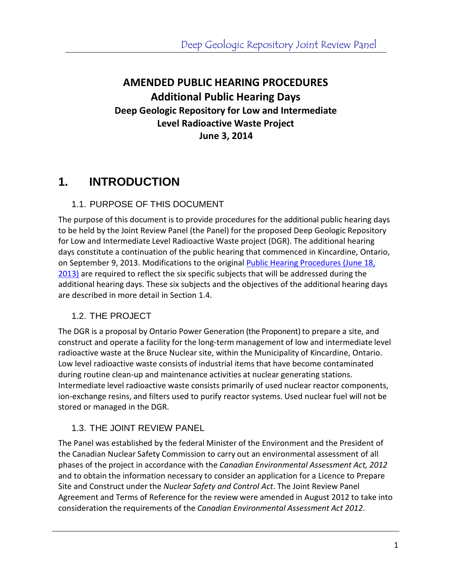### **AMENDED PUBLIC HEARING PROCEDURES Additional Public Hearing Days Deep Geologic Repository for Low and Intermediate Level Radioactive Waste Project June 3, 2014**

### **1. INTRODUCTION**

#### 1.1. PURPOSE OF THIS DOCUMENT

The purpose of this document is to provide procedures for the additional public hearing days to be held by the Joint Review Panel (the Panel) for the proposed Deep Geologic Repository for Low and Intermediate Level Radioactive Waste project (DGR). The additional hearing days constitute a continuation of the public hearing that commenced in Kincardine, Ontario, on September 9, 2013. Modifications to the origina[l Public Hearing Procedures \(June 18,](http://www.ceaa-acee.gc.ca/050/documents/p17520/90168E.pdf)  [2013\)](http://www.ceaa-acee.gc.ca/050/documents/p17520/90168E.pdf) are required to reflect the six specific subjects that will be addressed during the additional hearing days. These six subjects and the objectives of the additional hearing days are described in more detail in Section 1.4.

#### 1.2. THE PROJECT

The DGR is a proposal by Ontario Power Generation (the Proponent) to prepare a site, and construct and operate a facility for the long-term management of low and intermediate level radioactive waste at the Bruce Nuclear site, within the Municipality of Kincardine, Ontario. Low level radioactive waste consists of industrial items that have become contaminated during routine clean-up and maintenance activities at nuclear generating stations. Intermediate level radioactive waste consists primarily of used nuclear reactor components, ion-exchange resins, and filters used to purify reactor systems. Used nuclear fuel will not be stored or managed in the DGR.

#### 1.3. THE JOINT REVIEW PANEL

The Panel was established by the federal Minister of the Environment and the President of the Canadian Nuclear Safety Commission to carry out an environmental assessment of all phases of the project in accordance with the *Canadian Environmental Assessment Act, 2012* and to obtain the information necessary to consider an application for a Licence to Prepare Site and Construct under the *Nuclear Safety and Control Act*. The Joint Review Panel Agreement and Terms of Reference for the review were amended in August 2012 to take into consideration the requirements of the *Canadian Environmental Assessment Act 2012*.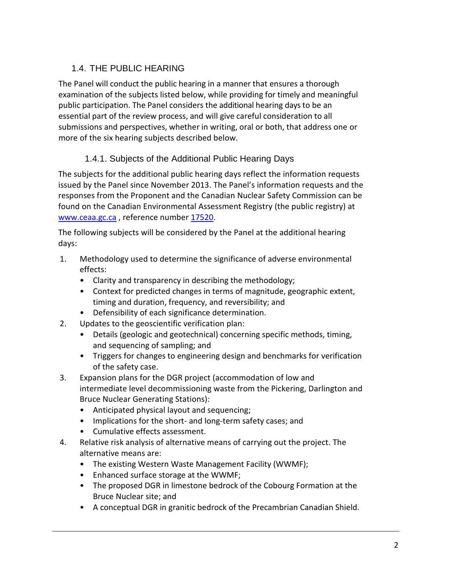### 1.4. THE PUBLIC HEARING

The Panel will conduct the public hearing in a manner that ensures a thorough examination of the subjects listed below, while providing for timely and meaningful public participation. The Panel considers the additional hearing days to be an essential part of the review process, and will give careful consideration to all submissions and perspectives, whether in writing, oral or both, that address one or more of the six hearing subjects described below.

### 1.4.1. Subjects of the Additional Public Hearing Days

The subjects for the additional public hearing days reflect the information requests issued by the Panel since November 2013. The Panel's information requests and the responses from the Proponent and the Canadian Nuclear Safety Commission can be found on the Canadian Environmental Assessment Registry (the public registry) at [www.ceaa.gc.ca](http://www.ceaa.gc.ca/), reference number [17520.](http://www.ceaa-acee.gc.ca/050/details-eng.cfm?evaluation=17520)

The following subjects will be considered by the Panel at the additional hearing days:

- 1. Methodology used to determine the significance of adverse environmental effects:
	- Clarity and transparency in describing the methodology;
	- Context for predicted changes in terms of magnitude, geographic extent, timing and duration, frequency, and reversibility; and
	- Defensibility of each significance determination.
- 2. Updates to the geoscientific verification plan:
	- Details (geologic and geotechnical) concerning specific methods, timing, and sequencing of sampling; and
	- Triggers for changes to engineering design and benchmarks for verification of the safety case.
- 3. Expansion plans for the DGR project (accommodation of low and intermediate level decommissioning waste from the Pickering, Darlington and Bruce Nuclear Generating Stations):
	- Anticipated physical layout and sequencing;
	- Implications for the short- and long-term safety cases; and
	- Cumulative effects assessment.
- 4. Relative risk analysis of alternative means of carrying out the project. The alternative means are:
	- The existing Western Waste Management Facility (WWMF);
	- Enhanced surface storage at the WWMF;
	- The proposed DGR in limestone bedrock of the Cobourg Formation at the Bruce Nuclear site; and
	- A conceptual DGR in granitic bedrock of the Precambrian Canadian Shield.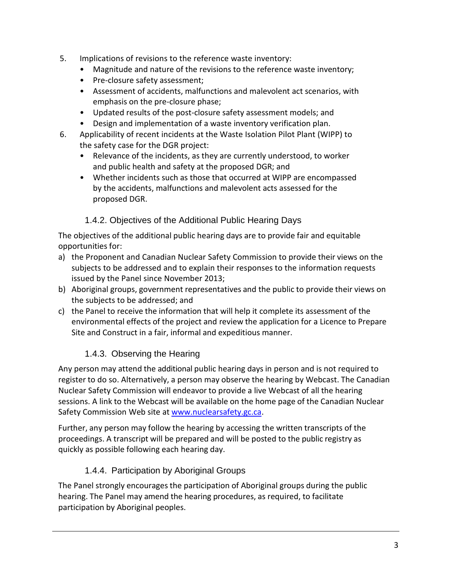- 5. Implications of revisions to the reference waste inventory:
	- Magnitude and nature of the revisions to the reference waste inventory;
	- Pre-closure safety assessment;
	- Assessment of accidents, malfunctions and malevolent act scenarios, with emphasis on the pre-closure phase;
	- Updated results of the post-closure safety assessment models; and
	- Design and implementation of a waste inventory verification plan.
- 6. Applicability of recent incidents at the Waste Isolation Pilot Plant (WIPP) to the safety case for the DGR project:
	- Relevance of the incidents, as they are currently understood, to worker and public health and safety at the proposed DGR; and
	- Whether incidents such as those that occurred at WIPP are encompassed by the accidents, malfunctions and malevolent acts assessed for the proposed DGR.

#### 1.4.2. Objectives of the Additional Public Hearing Days

The objectives of the additional public hearing days are to provide fair and equitable opportunities for:

- a) the Proponent and Canadian Nuclear Safety Commission to provide their views on the subjects to be addressed and to explain their responses to the information requests issued by the Panel since November 2013;
- b) Aboriginal groups, government representatives and the public to provide their views on the subjects to be addressed; and
- c) the Panel to receive the information that will help it complete its assessment of the environmental effects of the project and review the application for a Licence to Prepare Site and Construct in a fair, informal and expeditious manner.

#### 1.4.3. Observing the Hearing

Any person may attend the additional public hearing days in person and is not required to register to do so. Alternatively, a person may observe the hearing by Webcast. The Canadian Nuclear Safety Commission will endeavor to provide a live Webcast of all the hearing sessions. A link to the Webcast will be available on the home page of the Canadian Nuclear Safety Commission Web site at [www.nuclearsafety.gc.ca.](http://www.nuclearsafety.gc.ca/)

Further, any person may follow the hearing by accessing the written transcripts of the proceedings. A transcript will be prepared and will be posted to the public registry as quickly as possible following each hearing day.

#### 1.4.4. Participation by Aboriginal Groups

The Panel strongly encourages the participation of Aboriginal groups during the public hearing. The Panel may amend the hearing procedures, as required, to facilitate participation by Aboriginal peoples.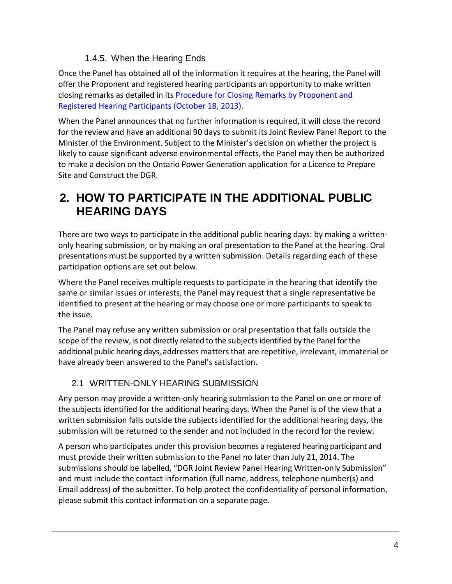#### 1.4.5. When the Hearing Ends

Once the Panel has obtained all of the information it requires at the hearing, the Panel will offer the Proponent and registered hearing participants an opportunity to make written closing remarks as detailed in it[s Procedure for Closing Remarks by Proponent and](http://www.ceaa-acee.gc.ca/050/documents/p17520/95623E.pdf)  [Registered Hearing Participants \(October 18, 2013\).](http://www.ceaa-acee.gc.ca/050/documents/p17520/95623E.pdf)

When the Panel announces that no further information is required, it will close the record for the review and have an additional 90 days to submit its Joint Review Panel Report to the Minister of the Environment. Subject to the Minister's decision on whether the project is likely to cause significant adverse environmental effects, the Panel may then be authorized to make a decision on the Ontario Power Generation application for a Licence to Prepare Site and Construct the DGR.

## **2. HOW TO PARTICIPATE IN THE ADDITIONAL PUBLIC HEARING DAYS**

There are two ways to participate in the additional public hearing days: by making a writtenonly hearing submission, or by making an oral presentation to the Panel at the hearing. Oral presentations must be supported by a written submission. Details regarding each of these participation options are set out below.

Where the Panel receives multiple requests to participate in the hearing that identify the same or similar issues or interests, the Panel may request that a single representative be identified to present at the hearing or may choose one or more participants to speak to the issue.

The Panel may refuse any written submission or oral presentation that falls outside the scope of the review, is not directly related to the subjects identified by the Panel for the additional public hearing days, addresses mattersthat are repetitive, irrelevant, immaterial or have already been answered to the Panel's satisfaction.

#### 2.1 WRITTEN-ONLY HEARING SUBMISSION

Any person may provide a written-only hearing submission to the Panel on one or more of the subjects identified for the additional hearing days. When the Panel is of the view that a written submission falls outside the subjects identified for the additional hearing days, the submission will be returned to the sender and not included in the record for the review.

A person who participates under this provision becomes a registered hearing participant and must provide their written submission to the Panel no later than July 21, 2014. The submissions should be labelled, "DGR Joint Review Panel Hearing Written-only Submission" and must include the contact information (full name, address, telephone number(s) and Email address) of the submitter. To help protect the confidentiality of personal information, please submit this contact information on a separate page.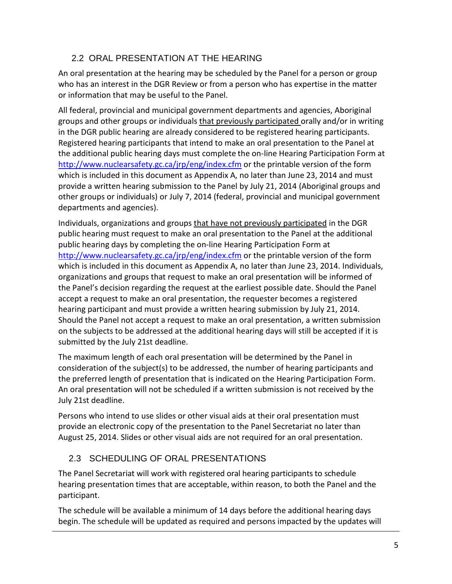### 2.2 ORAL PRESENTATION AT THE HEARING

An oral presentation at the hearing may be scheduled by the Panel for a person or group who has an interest in the DGR Review or from a person who has expertise in the matter or information that may be useful to the Panel.

All federal, provincial and municipal government departments and agencies, Aboriginal groups and other groups or individuals that previously participated orally and/or in writing in the DGR public hearing are already considered to be registered hearing participants. Registered hearing participants that intend to make an oral presentation to the Panel at the additional public hearing days must complete the on-line Hearing Participation Form at <http://www.nuclearsafety.gc.ca/jrp/eng/index.cfm> or the printable version of the form which is included in this document as Appendix A, no later than June 23, 2014 and must provide a written hearing submission to the Panel by July 21, 2014 (Aboriginal groups and other groups or individuals) or July 7, 2014 (federal, provincial and municipal government departments and agencies).

Individuals, organizations and groups that have not previously participated in the DGR public hearing must request to make an oral presentation to the Panel at the additional public hearing days by completing the on-line Hearing Participation Form at <http://www.nuclearsafety.gc.ca/jrp/eng/index.cfm> or the printable version of the form which is included in this document as Appendix A, no later than June 23, 2014. Individuals, organizations and groups that request to make an oral presentation will be informed of the Panel's decision regarding the request at the earliest possible date. Should the Panel accept a request to make an oral presentation, the requester becomes a registered hearing participant and must provide a written hearing submission by July 21, 2014. Should the Panel not accept a request to make an oral presentation, a written submission on the subjects to be addressed at the additional hearing days will still be accepted if it is submitted by the July 21st deadline.

The maximum length of each oral presentation will be determined by the Panel in consideration of the subject(s) to be addressed, the number of hearing participants and the preferred length of presentation that is indicated on the Hearing Participation Form. An oral presentation will not be scheduled if a written submission is not received by the July 21st deadline.

Persons who intend to use slides or other visual aids at their oral presentation must provide an electronic copy of the presentation to the Panel Secretariat no later than August 25, 2014. Slides or other visual aids are not required for an oral presentation.

### 2.3 SCHEDULING OF ORAL PRESENTATIONS

The Panel Secretariat will work with registered oral hearing participants to schedule hearing presentation times that are acceptable, within reason, to both the Panel and the participant.

The schedule will be available a minimum of 14 days before the additional hearing days begin. The schedule will be updated as required and persons impacted by the updates will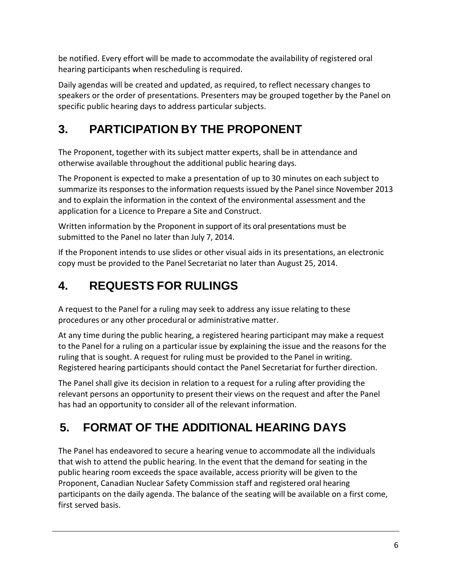be notified. Every effort will be made to accommodate the availability of registered oral hearing participants when rescheduling is required.

Daily agendas will be created and updated, as required, to reflect necessary changes to speakers or the order of presentations. Presenters may be grouped together by the Panel on specific public hearing days to address particular subjects.

# **3. PARTICIPATION BY THE PROPONENT**

The Proponent, together with its subject matter experts, shall be in attendance and otherwise available throughout the additional public hearing days.

The Proponent is expected to make a presentation of up to 30 minutes on each subject to summarize its responses to the information requests issued by the Panel since November 2013 and to explain the information in the context of the environmental assessment and the application for a Licence to Prepare a Site and Construct.

Written information by the Proponent in support of its oral presentations must be submitted to the Panel no later than July 7, 2014.

If the Proponent intends to use slides or other visual aids in its presentations, an electronic copy must be provided to the Panel Secretariat no later than August 25, 2014.

# **4. REQUESTS FOR RULINGS**

A request to the Panel for a ruling may seek to address any issue relating to these procedures or any other procedural or administrative matter.

At any time during the public hearing, a registered hearing participant may make a request to the Panel for a ruling on a particular issue by explaining the issue and the reasons for the ruling that is sought. A request for ruling must be provided to the Panel in writing. Registered hearing participants should contact the Panel Secretariat for further direction.

The Panel shall give its decision in relation to a request for a ruling after providing the relevant persons an opportunity to present their views on the request and after the Panel has had an opportunity to consider all of the relevant information.

# **5. FORMAT OF THE ADDITIONAL HEARING DAYS**

The Panel has endeavored to secure a hearing venue to accommodate all the individuals that wish to attend the public hearing. In the event that the demand for seating in the public hearing room exceeds the space available, access priority will be given to the Proponent, Canadian Nuclear Safety Commission staff and registered oral hearing participants on the daily agenda. The balance of the seating will be available on a first come, first served basis.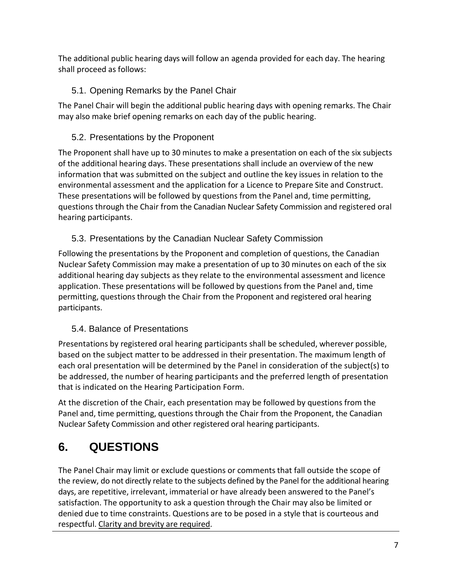The additional public hearing days will follow an agenda provided for each day. The hearing shall proceed as follows:

### 5.1. Opening Remarks by the Panel Chair

The Panel Chair will begin the additional public hearing days with opening remarks. The Chair may also make brief opening remarks on each day of the public hearing.

### 5.2. Presentations by the Proponent

The Proponent shall have up to 30 minutes to make a presentation on each of the six subjects of the additional hearing days. These presentations shall include an overview of the new information that was submitted on the subject and outline the key issues in relation to the environmental assessment and the application for a Licence to Prepare Site and Construct. These presentations will be followed by questions from the Panel and, time permitting, questions through the Chair from the Canadian Nuclear Safety Commission and registered oral hearing participants.

### 5.3. Presentations by the Canadian Nuclear Safety Commission

Following the presentations by the Proponent and completion of questions, the Canadian Nuclear Safety Commission may make a presentation of up to 30 minutes on each of the six additional hearing day subjects as they relate to the environmental assessment and licence application. These presentations will be followed by questions from the Panel and, time permitting, questions through the Chair from the Proponent and registered oral hearing participants.

### 5.4. Balance of Presentations

Presentations by registered oral hearing participants shall be scheduled, wherever possible, based on the subject matter to be addressed in their presentation. The maximum length of each oral presentation will be determined by the Panel in consideration of the subject(s) to be addressed, the number of hearing participants and the preferred length of presentation that is indicated on the Hearing Participation Form.

At the discretion of the Chair, each presentation may be followed by questions from the Panel and, time permitting, questions through the Chair from the Proponent, the Canadian Nuclear Safety Commission and other registered oral hearing participants.

## **6. QUESTIONS**

The Panel Chair may limit or exclude questions or comments that fall outside the scope of the review, do not directly relate to the subjects defined by the Panel for the additional hearing days, are repetitive, irrelevant, immaterial or have already been answered to the Panel's satisfaction. The opportunity to ask a question through the Chair may also be limited or denied due to time constraints. Questions are to be posed in a style that is courteous and respectful. Clarity and brevity are required.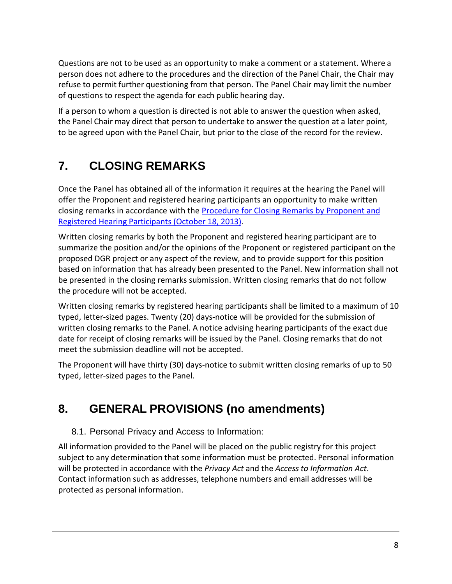Questions are not to be used as an opportunity to make a comment or a statement. Where a person does not adhere to the procedures and the direction of the Panel Chair, the Chair may refuse to permit further questioning from that person. The Panel Chair may limit the number of questions to respect the agenda for each public hearing day.

If a person to whom a question is directed is not able to answer the question when asked, the Panel Chair may direct that person to undertake to answer the question at a later point, to be agreed upon with the Panel Chair, but prior to the close of the record for the review.

# **7. CLOSING REMARKS**

Once the Panel has obtained all of the information it requires at the hearing the Panel will offer the Proponent and registered hearing participants an opportunity to make written closing remarks in accordance with the **Procedure for Closing Remarks by Proponent and** [Registered Hearing Participants](http://www.ceaa-acee.gc.ca/050/documents/p17520/95623E.pdf) (October 18, 2013).

Written closing remarks by both the Proponent and registered hearing participant are to summarize the position and/or the opinions of the Proponent or registered participant on the proposed DGR project or any aspect of the review, and to provide support for this position based on information that has already been presented to the Panel. New information shall not be presented in the closing remarks submission. Written closing remarks that do not follow the procedure will not be accepted.

Written closing remarks by registered hearing participants shall be limited to a maximum of 10 typed, letter-sized pages. Twenty (20) days-notice will be provided for the submission of written closing remarks to the Panel. A notice advising hearing participants of the exact due date for receipt of closing remarks will be issued by the Panel. Closing remarks that do not meet the submission deadline will not be accepted.

The Proponent will have thirty (30) days-notice to submit written closing remarks of up to 50 typed, letter-sized pages to the Panel.

## **8. GENERAL PROVISIONS (no amendments)**

#### 8.1. Personal Privacy and Access to Information:

All information provided to the Panel will be placed on the public registry for this project subject to any determination that some information must be protected. Personal information will be protected in accordance with the *Privacy Act* and the *Access to Information Act*. Contact information such as addresses, telephone numbers and email addresses will be protected as personal information.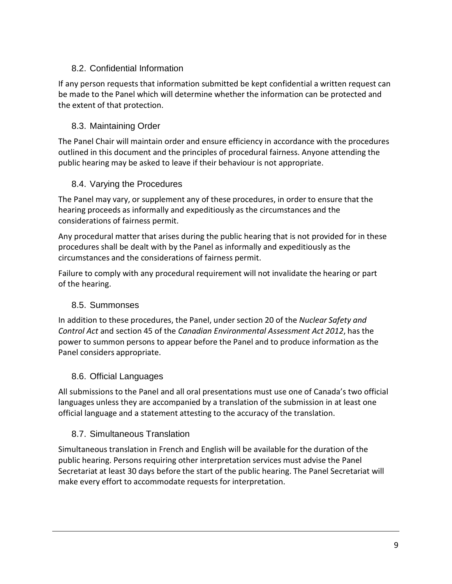#### 8.2. Confidential Information

If any person requests that information submitted be kept confidential a written request can be made to the Panel which will determine whether the information can be protected and the extent of that protection.

#### 8.3. Maintaining Order

The Panel Chair will maintain order and ensure efficiency in accordance with the procedures outlined in this document and the principles of procedural fairness. Anyone attending the public hearing may be asked to leave if their behaviour is not appropriate.

#### 8.4. Varying the Procedures

The Panel may vary, or supplement any of these procedures, in order to ensure that the hearing proceeds as informally and expeditiously as the circumstances and the considerations of fairness permit.

Any procedural matter that arises during the public hearing that is not provided for in these procedures shall be dealt with by the Panel as informally and expeditiously as the circumstances and the considerations of fairness permit.

Failure to comply with any procedural requirement will not invalidate the hearing or part of the hearing.

#### 8.5. Summonses

In addition to these procedures, the Panel, under section 20 of the *Nuclear Safety and Control Act* and section 45 of the *Canadian Environmental Assessment Act 2012*, has the power to summon persons to appear before the Panel and to produce information as the Panel considers appropriate.

#### 8.6. Official Languages

All submissions to the Panel and all oral presentations must use one of Canada's two official languages unless they are accompanied by a translation of the submission in at least one official language and a statement attesting to the accuracy of the translation.

#### 8.7. Simultaneous Translation

Simultaneous translation in French and English will be available for the duration of the public hearing. Persons requiring other interpretation services must advise the Panel Secretariat at least 30 days before the start of the public hearing. The Panel Secretariat will make every effort to accommodate requests for interpretation.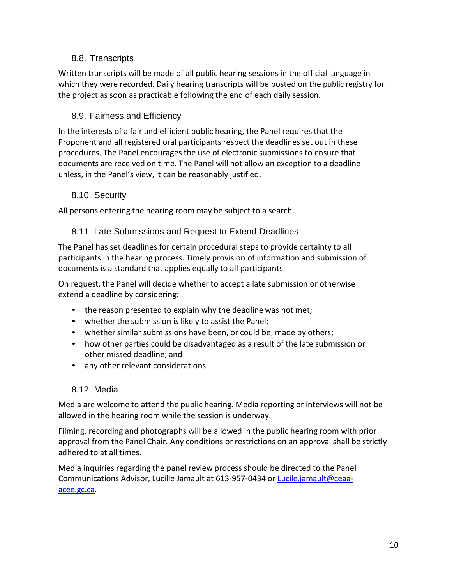#### 8.8. Transcripts

Written transcripts will be made of all public hearing sessions in the official language in which they were recorded. Daily hearing transcripts will be posted on the public registry for the project as soon as practicable following the end of each daily session.

#### 8.9. Fairness and Efficiency

In the interests of a fair and efficient public hearing, the Panel requires that the Proponent and all registered oral participants respect the deadlines set out in these procedures. The Panel encourages the use of electronic submissions to ensure that documents are received on time. The Panel will not allow an exception to a deadline unless, in the Panel's view, it can be reasonably justified.

#### 8.10. Security

All persons entering the hearing room may be subject to a search.

#### 8.11. Late Submissions and Request to Extend Deadlines

The Panel has set deadlines for certain procedural steps to provide certainty to all participants in the hearing process. Timely provision of information and submission of documents is a standard that applies equally to all participants.

On request, the Panel will decide whether to accept a late submission or otherwise extend a deadline by considering:

- the reason presented to explain why the deadline was not met;
- whether the submission is likely to assist the Panel;
- whether similar submissions have been, or could be, made by others;
- how other parties could be disadvantaged as a result of the late submission or other missed deadline; and
- any other relevant considerations.

#### 8.12. Media

Media are welcome to attend the public hearing. Media reporting or interviews will not be allowed in the hearing room while the session is underway.

Filming, recording and photographs will be allowed in the public hearing room with prior approval from the Panel Chair. Any conditions or restrictions on an approval shall be strictly adhered to at all times.

Media inquiries regarding the panel review process should be directed to the Panel Communications Advisor, Lucille Jamault at 613-957-0434 or [Lucile.jamault@ceaa](mailto:Lucile.jamault@ceaa-acee.gc.ca)[acee.gc.ca.](mailto:Lucile.jamault@ceaa-acee.gc.ca)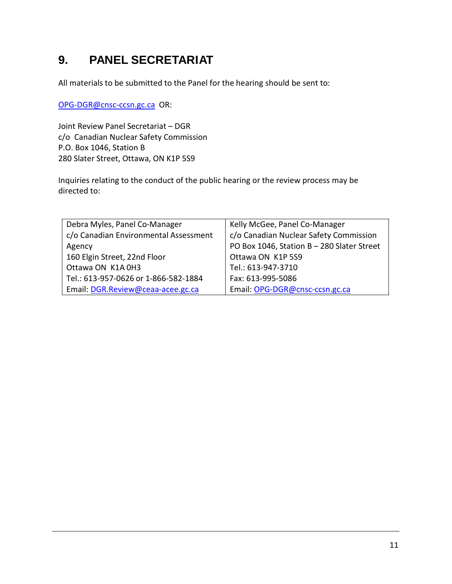## **9. PANEL SECRETARIAT**

All materials to be submitted to the Panel for the hearing should be sent to:

[OPG-DGR@cnsc-ccsn.gc.ca](mailto:OPG-DGR@cnsc-ccsn.gc.ca) OR:

Joint Review Panel Secretariat – DGR c/o Canadian Nuclear Safety Commission P.O. Box 1046, Station B 280 Slater Street, Ottawa, ON K1P 5S9

Inquiries relating to the conduct of the public hearing or the review process may be directed to:

| Kelly McGee, Panel Co-Manager              |
|--------------------------------------------|
| c/o Canadian Nuclear Safety Commission     |
| PO Box 1046, Station B - 280 Slater Street |
| Ottawa ON K1P 5S9                          |
| Tel.: 613-947-3710                         |
| Fax: 613-995-5086                          |
| Email: OPG-DGR@cnsc-ccsn.gc.ca             |
|                                            |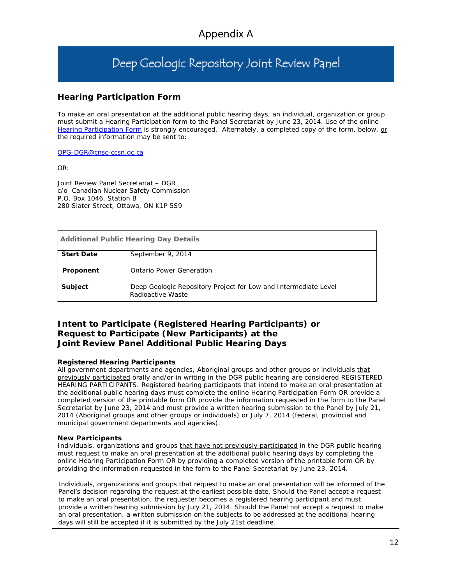# Deep Geologic Repository Joint Review Panel

#### **Hearing Participation Form**

To make an oral presentation at the additional public hearing days, an individual, organization or group must submit a Hearing Participation form to the Panel Secretariat by June 23, 2014. Use of the online [Hearing Participation Form](http://www.nuclearsafety.gc.ca/jrp/eng/index.cfm) is strongly encouraged. Alternately, a completed copy of the form, below, or the required information may be sent to:

[OPG-DGR@cnsc-ccsn.gc.ca](mailto:OPG-DGR@cnsc-ccsn.gc.ca)

OR:

Joint Review Panel Secretariat – DGR c/o Canadian Nuclear Safety Commission P.O. Box 1046, Station B 280 Slater Street, Ottawa, ON K1P 5S9

| <b>Additional Public Hearing Day Details</b> |                                                                                      |
|----------------------------------------------|--------------------------------------------------------------------------------------|
| <b>Start Date</b>                            | September 9, 2014                                                                    |
| Proponent                                    | Ontario Power Generation                                                             |
| <b>Subject</b>                               | Deep Geologic Repository Project for Low and Intermediate Level<br>Radioactive Waste |

#### **Intent to Participate (Registered Hearing Participants) or Request to Participate (New Participants) at the Joint Review Panel Additional Public Hearing Days**

#### **Registered Hearing Participants**

All government departments and agencies, Aboriginal groups and other groups or individuals that previously participated orally and/or in writing in the DGR public hearing are considered REGISTERED HEARING PARTICIPANTS. Registered hearing participants that intend to make an oral presentation at the additional public hearing days must complete the online Hearing Participation Form OR provide a completed version of the printable form OR provide the information requested in the form to the Panel Secretariat by June 23, 2014 and must provide a written hearing submission to the Panel by July 21, 2014 (Aboriginal groups and other groups or individuals) or July 7, 2014 (federal, provincial and municipal government departments and agencies).

#### **New Participants**

Individuals, organizations and groups that have not previously participated in the DGR public hearing must request to make an oral presentation at the additional public hearing days by completing the online Hearing Participation Form OR by providing a completed version of the printable form OR by providing the information requested in the form to the Panel Secretariat by June 23, 2014.

Individuals, organizations and groups that request to make an oral presentation will be informed of the Panel's decision regarding the request at the earliest possible date. Should the Panel accept a request to make an oral presentation, the requester becomes a registered hearing participant and must provide a written hearing submission by July 21, 2014. Should the Panel not accept a request to make an oral presentation, a written submission on the subjects to be addressed at the additional hearing days will still be accepted if it is submitted by the July 21st deadline.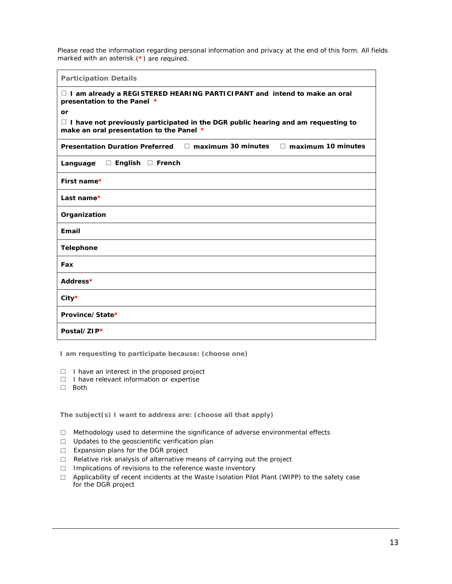Please read the information regarding personal information and privacy at the end of this form. All fields marked with an asterisk (**\***) are required.

**Participation Details**

| $\Box$ I am already a REGISTERED HEARING PARTICIPANT and intend to make an oral<br>presentation to the Panel *                       |  |  |
|--------------------------------------------------------------------------------------------------------------------------------------|--|--|
| or                                                                                                                                   |  |  |
| $\Box$ I have not previously participated in the DGR public hearing and am requesting to<br>make an oral presentation to the Panel * |  |  |
| <b>Presentation Duration Preferred</b><br>$\Box$ maximum 30 minutes<br>$\Box$ maximum 10 minutes                                     |  |  |
| Language □ English □ French                                                                                                          |  |  |
| First name*                                                                                                                          |  |  |
| Last name*                                                                                                                           |  |  |
| Organization                                                                                                                         |  |  |
| <b>Email</b>                                                                                                                         |  |  |
| <b>Telephone</b>                                                                                                                     |  |  |
| Fax                                                                                                                                  |  |  |
| Address*                                                                                                                             |  |  |
| $City*$                                                                                                                              |  |  |
| Province/State*                                                                                                                      |  |  |
| Postal/ZIP*                                                                                                                          |  |  |

**I am requesting to participate because: (choose one)**

- □ I have an interest in the proposed project
- □ I have relevant information or expertise
- □ Both

**The subject(s) I want to address are: (choose all that apply)**

- □ Methodology used to determine the significance of adverse environmental effects
- □ Updates to the geoscientific verification plan
- □ Expansion plans for the DGR project
- $\Box$  Relative risk analysis of alternative means of carrying out the project
- □ Implications of revisions to the reference waste inventory
- □ Applicability of recent incidents at the Waste Isolation Pilot Plant (WIPP) to the safety case for the DGR project